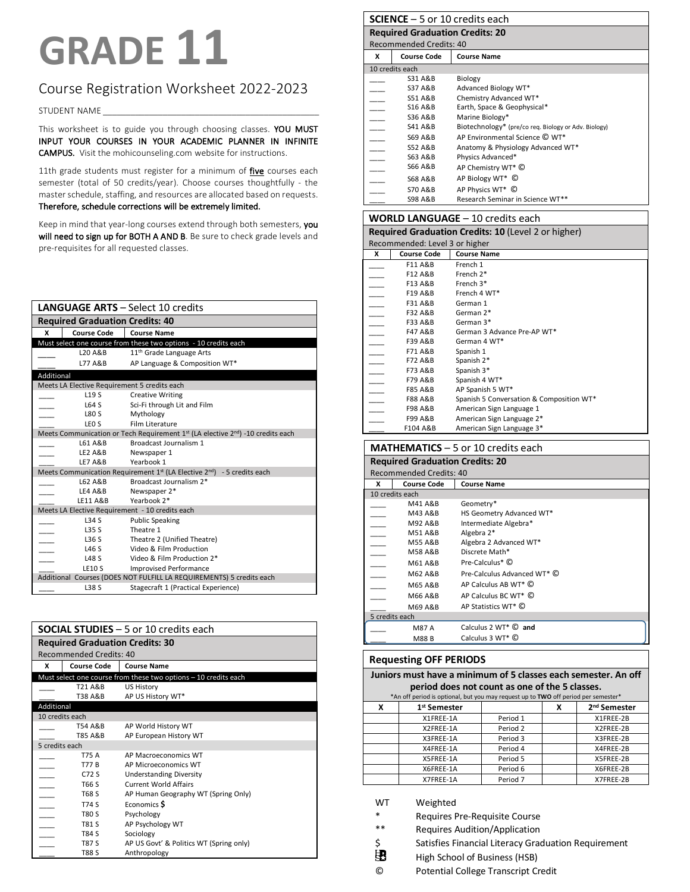# **GRADE 11**

### Course Registration Worksheet 2022-2023

STUDENT NAME

This worksheet is to guide you through choosing classes. YOU MUST INPUT YOUR COURSES IN YOUR ACADEMIC PLANNER IN INFINITE CAMPUS. Visit the mohicounseling.com website for instructions.

11th grade students must register for a minimum of *five* courses each semester (total of 50 credits/year). Choose courses thoughtfully - the master schedule, staffing, and resources are allocated based on requests. Therefore, schedule corrections will be extremely limited.

Keep in mind that year-long courses extend through both semesters, you will need to sign up for BOTH A AND B. Be sure to check grade levels and pre-requisites for all requested classes.

|            | <b>LANGUAGE ARTS - Select 10 credits</b>     |                                                                                                 |  |  |
|------------|----------------------------------------------|-------------------------------------------------------------------------------------------------|--|--|
|            | <b>Required Graduation Credits: 40</b>       |                                                                                                 |  |  |
| x          | <b>Course Code</b>                           | <b>Course Name</b>                                                                              |  |  |
|            |                                              | Must select one course from these two options - 10 credits each                                 |  |  |
|            | L20 A&B                                      | 11 <sup>th</sup> Grade Language Arts                                                            |  |  |
|            | L77 A&B                                      | AP Language & Composition WT*                                                                   |  |  |
| Additional |                                              |                                                                                                 |  |  |
|            | Meets LA Elective Requirement 5 credits each |                                                                                                 |  |  |
|            | L <sub>19</sub> S                            | <b>Creative Writing</b>                                                                         |  |  |
|            | L64 S                                        | Sci-Fi through Lit and Film                                                                     |  |  |
|            | <b>L80 S</b>                                 | Mythology                                                                                       |  |  |
|            | LEO <sub>S</sub>                             | Film Literature                                                                                 |  |  |
|            |                                              | Meets Communication or Tech Requirement 1st (LA elective 2nd) -10 credits each                  |  |  |
|            | L61 A&B                                      | Broadcast Journalism 1                                                                          |  |  |
|            | <b>LE2 A&amp;B</b>                           | Newspaper 1                                                                                     |  |  |
|            | <b>LE7 A&amp;B</b>                           | Yearbook 1                                                                                      |  |  |
|            |                                              | Meets Communication Requirement 1 <sup>st</sup> (LA Elective 2 <sup>nd</sup> ) - 5 credits each |  |  |
|            | L62 A&B                                      | Broadcast Journalism 2*                                                                         |  |  |
|            | LE4 A&B                                      | Newspaper 2*                                                                                    |  |  |
|            | <b>LE11 A&amp;B</b>                          | Yearbook 2*                                                                                     |  |  |
|            |                                              | Meets LA Elective Requirement - 10 credits each                                                 |  |  |
|            | <b>L34 S</b>                                 | <b>Public Speaking</b>                                                                          |  |  |
|            | L35S                                         | Theatre 1                                                                                       |  |  |
|            | L36 S                                        | Theatre 2 (Unified Theatre)                                                                     |  |  |
|            | L46S                                         | Video & Film Production                                                                         |  |  |
|            | <b>L48 S</b>                                 | Video & Film Production 2*                                                                      |  |  |
|            | <b>LE10 S</b>                                | <b>Improvised Performance</b>                                                                   |  |  |
|            |                                              | Additional Courses (DOES NOT FULFILL LA REQUIREMENTS) 5 credits each                            |  |  |
|            | L38 S                                        | Stagecraft 1 (Practical Experience)                                                             |  |  |

|                          | <b>SOCIAL STUDIES</b> $-5$ or 10 credits each |                                                                 |  |  |
|--------------------------|-----------------------------------------------|-----------------------------------------------------------------|--|--|
|                          |                                               | <b>Required Graduation Credits: 30</b>                          |  |  |
|                          | <b>Recommended Credits: 40</b>                |                                                                 |  |  |
| x                        | <b>Course Code</b>                            | <b>Course Name</b>                                              |  |  |
|                          |                                               | Must select one course from these two options - 10 credits each |  |  |
|                          | T21 A&B                                       | US History                                                      |  |  |
|                          | T38 A&B                                       | AP US History WT*                                               |  |  |
| Additional               |                                               |                                                                 |  |  |
| 10 credits each          |                                               |                                                                 |  |  |
|                          | T54 A&B                                       | AP World History WT                                             |  |  |
|                          | <b>T85 A&amp;B</b>                            | AP European History WT                                          |  |  |
| 5 credits each           |                                               |                                                                 |  |  |
|                          | T75 A                                         | AP Macroeconomics WT                                            |  |  |
|                          | <b>T77 B</b>                                  | AP Microeconomics WT                                            |  |  |
|                          | $C72$ S                                       | <b>Understanding Diversity</b>                                  |  |  |
|                          | T66 S                                         | <b>Current World Affairs</b>                                    |  |  |
| $\overline{\phantom{a}}$ | T68 S                                         | AP Human Geography WT (Spring Only)                             |  |  |
|                          | T74 S                                         | Economics S                                                     |  |  |
| $\overline{\phantom{a}}$ | T80 S                                         | Psychology                                                      |  |  |
| $\overline{a}$           | T81 S                                         | AP Psychology WT                                                |  |  |
|                          | T84 S                                         | Sociology                                                       |  |  |
|                          | <b>T87 S</b>                                  | AP US Govt' & Politics WT (Spring only)                         |  |  |
|                          | <b>T88 S</b>                                  | Anthropology                                                    |  |  |

## **SCIENCE** – 5 or 10 credits each

| <b>Required Graduation Credits: 20</b><br><b>Recommended Credits: 40</b> |                    |                                                      |  |
|--------------------------------------------------------------------------|--------------------|------------------------------------------------------|--|
| x                                                                        | <b>Course Code</b> | <b>Course Name</b>                                   |  |
|                                                                          | 10 credits each    |                                                      |  |
|                                                                          | S31 A&B            | Biology                                              |  |
|                                                                          | <b>S37 A&amp;B</b> | Advanced Biology WT*                                 |  |
|                                                                          | <b>S51 A&amp;B</b> | Chemistry Advanced WT*                               |  |
|                                                                          | <b>S16 A&amp;B</b> | Earth, Space & Geophysical*                          |  |
|                                                                          | S36 A&B            | Marine Biology*                                      |  |
|                                                                          | S41 A&B            | Biotechnology* (pre/co req. Biology or Adv. Biology) |  |
|                                                                          | S69 A&B            | AP Environmental Science C WT*                       |  |
|                                                                          | <b>S52 A&amp;B</b> | Anatomy & Physiology Advanced WT*                    |  |
|                                                                          | S63 A&B            | Physics Advanced*                                    |  |
|                                                                          | <b>S66 A&amp;B</b> | AP Chemistry WT* C                                   |  |
|                                                                          | <b>S68 A&amp;B</b> | AP Biology WT* ©                                     |  |
|                                                                          | <b>S70 A&amp;B</b> | AP Physics WT* ©                                     |  |
|                                                                          | <b>S98 A&amp;B</b> | Research Seminar in Science WT**                     |  |

#### **WORLD LANGUAGE** – 10 credits each

| <b>Required Graduation Credits: 10 (Level 2 or higher)</b> |                                |                                          |  |  |
|------------------------------------------------------------|--------------------------------|------------------------------------------|--|--|
|                                                            | Recommended: Level 3 or higher |                                          |  |  |
| x                                                          | <b>Course Code</b>             | <b>Course Name</b>                       |  |  |
|                                                            | F11 A&B                        | French 1                                 |  |  |
|                                                            | F12 A&B                        | French 2*                                |  |  |
| --                                                         | F13 A&B                        | French 3*                                |  |  |
| $\overline{\phantom{0}}$                                   | F19 A&B                        | French 4 WT*                             |  |  |
| --                                                         | F31 A&B                        | German 1                                 |  |  |
|                                                            | F32 A&B                        | German 2*                                |  |  |
|                                                            | F33 A&B                        | German 3*                                |  |  |
|                                                            | F47 A&B                        | German 3 Advance Pre-AP WT*              |  |  |
|                                                            | F39 A&B                        | German 4 WT*                             |  |  |
| $\overline{\phantom{a}}$                                   | F71 A&B                        | Spanish 1                                |  |  |
|                                                            | F72 A&B                        | Spanish 2*                               |  |  |
|                                                            | F73 A&B                        | Spanish 3*                               |  |  |
|                                                            | F79 A&B                        | Spanish 4 WT*                            |  |  |
|                                                            | <b>F85 A&amp;B</b>             | AP Spanish 5 WT*                         |  |  |
|                                                            | <b>F88 A&amp;B</b>             | Spanish 5 Conversation & Composition WT* |  |  |
|                                                            | F98 A&B                        | American Sign Language 1                 |  |  |
|                                                            | F99 A&B                        | American Sign Language 2*                |  |  |
|                                                            | F104 A&B                       | American Sign Language 3*                |  |  |

#### **MATHEMATICS** – 5 or 10 credits each

| <b>Required Graduation Credits: 20</b> |                                |                              |  |  |  |
|----------------------------------------|--------------------------------|------------------------------|--|--|--|
|                                        | <b>Recommended Credits: 40</b> |                              |  |  |  |
| x                                      | <b>Course Code</b>             | <b>Course Name</b>           |  |  |  |
|                                        | 10 credits each                |                              |  |  |  |
|                                        | M41 A&B                        | Geometry*                    |  |  |  |
|                                        | M43 A&B                        | HS Geometry Advanced WT*     |  |  |  |
|                                        | M92 A&B                        | Intermediate Algebra*        |  |  |  |
|                                        | M51 A&B                        | Algebra 2*                   |  |  |  |
|                                        | <b>M55 A&amp;B</b>             | Algebra 2 Advanced WT*       |  |  |  |
|                                        | <b>M58 A&amp;B</b>             | Discrete Math*               |  |  |  |
|                                        | M61 A&B                        | Pre-Calculus* C              |  |  |  |
|                                        | M62 A&B                        | Pre-Calculus Advanced WT* C  |  |  |  |
|                                        | M65 A&B                        | AP Calculus AB WT* C         |  |  |  |
|                                        | M66 A&B                        | AP Calculus BC WT* C         |  |  |  |
|                                        | M69 A&B                        | AP Statistics WT* C          |  |  |  |
| 5 credits each                         |                                |                              |  |  |  |
|                                        | M87 A                          | Calculus $2WT^*$ $\odot$ and |  |  |  |
|                                        | M88 B                          | Calculus $3WT^*$ $\odot$     |  |  |  |

#### **Requesting OFF PERIODS**

**Juniors must have a minimum of 5 classes each semester. An off period does not count as one of the 5 classes.**

|   | *An off period is optional, but you may request up to TWO off period per semester* |                     |   |                          |  |
|---|------------------------------------------------------------------------------------|---------------------|---|--------------------------|--|
| X | 1 <sup>st</sup> Semester                                                           |                     | x | 2 <sup>nd</sup> Semester |  |
|   | X1FREE-1A                                                                          | Period 1            |   | X1FREE-2B                |  |
|   | X2FREE-1A                                                                          | Period 2            |   | X2FREE-2B                |  |
|   | X3FREE-1A                                                                          | Period 3            |   | X3FREE-2B                |  |
|   | X4FREE-1A                                                                          | Period 4            |   | X4FREE-2B                |  |
|   | X5FREE-1A                                                                          | Period 5            |   | X5FREE-2B                |  |
|   | X6FREE-1A                                                                          | Period 6            |   | X6FREE-2B                |  |
|   | X7FREE-1A                                                                          | Period <sub>7</sub> |   | X7FREE-2B                |  |

WT Weighted

\* Requires Pre-Requisite Course<br>\*\* Requires Audition (Application

Requires Audition/Application

 $\frac{1}{5}$  Satisfies Financial Literacy Graduation Requirement<br>  $\frac{1}{5}$  High School of Business (HSB)

High School of Business (HSB)

© Potential College Transcript Credit